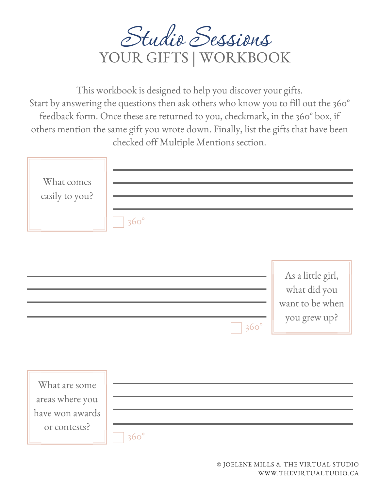

This workbook is designed to help you discover your gifts. Start by answering the questions then ask others who know you to fill out the 360° feedback form. Once these are returned to you, checkmark, in the 360° box, if others mention the same gift you wrote down. Finally, list the gifts that have been checked off Multiple Mentions section.

| What comes<br>easily to you?                                        | $360^\circ$ |             |                                                                      |
|---------------------------------------------------------------------|-------------|-------------|----------------------------------------------------------------------|
|                                                                     |             | $360^\circ$ | As a little girl,<br>what did you<br>want to be when<br>you grew up? |
| What are some<br>areas where you<br>have won awards<br>or contests? | $360^\circ$ |             |                                                                      |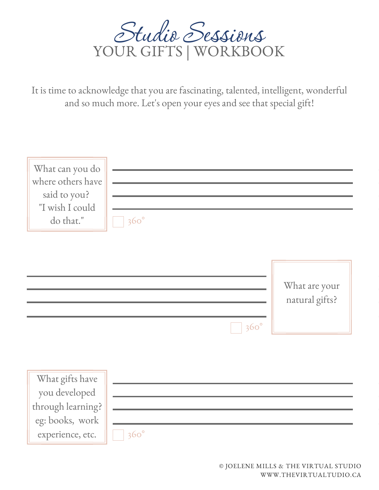

It is time to acknowledge that you are fascinating, talented, intelligent, wonderful and so much more. Let's open your eyes and see that special gift!

| What can you do<br>where others have<br>said to you?<br>"I wish I could<br>do that."         | $360^\circ$ |                                 |
|----------------------------------------------------------------------------------------------|-------------|---------------------------------|
|                                                                                              | $360^\circ$ | What are your<br>natural gifts? |
| What gifts have<br>you developed<br>through learning?<br>eg: books, work<br>experience, etc. | $360^\circ$ |                                 |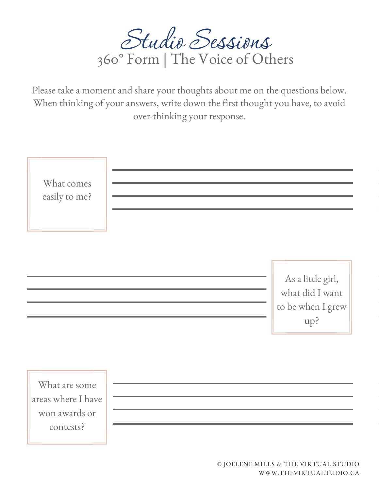

Please take a moment and share your thoughts about me on the questions below. When thinking of your answers, write down the first thought you have, to avoid over-thinking your response.

| What comes<br>easily to me? |                                                                  |
|-----------------------------|------------------------------------------------------------------|
|                             | As a little girl,<br>what did I want<br>to be when I grew<br>up? |
| What are some               |                                                                  |

Whatare some areas where I have won awards or contests?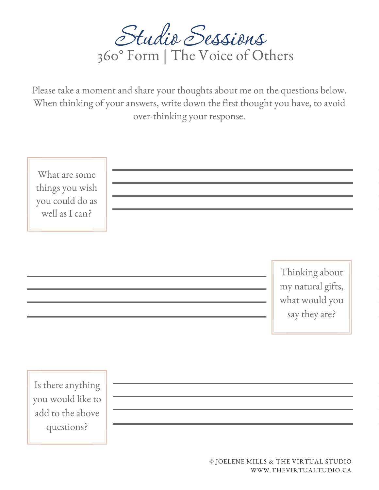

Please take a moment and share your thoughts about me on the questions below. When thinking of your answers, write down the first thought you have, to avoid over-thinking your response.

What are some things you wish you could do as wellas I can?

> Thinking about my natural gifts, what would you say they are?

Is there anything you would like to add to the above questions?